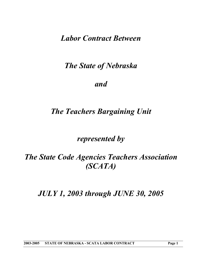*Labor Contract Between* 

*The State of Nebraska* 

*and* 

# *The Teachers Bargaining Unit*

*represented by* 

*The State Code Agencies Teachers Association (SCATA)* 

*JULY 1, 2003 through JUNE 30, 2005*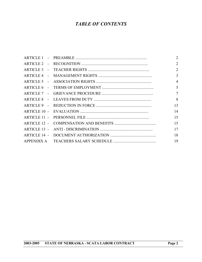## *TABLE OF CONTENTS*

|  | $\overline{2}$ |
|--|----------------|
|  | $\overline{2}$ |
|  | 2              |
|  | $\overline{3}$ |
|  | $\overline{4}$ |
|  | 5              |
|  | $\tau$         |
|  | 8              |
|  | 13             |
|  | 14             |
|  | 15             |
|  | 15             |
|  | 17             |
|  | 18             |
|  | 19             |
|  |                |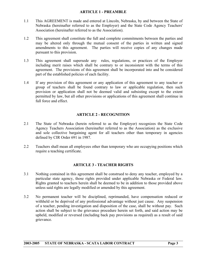#### **ARTICLE 1 - PREAMBLE**

- <span id="page-2-0"></span>1.1 This AGREEMENT is made and entered at Lincoln, Nebraska, by and between the State of Nebraska (hereinafter referred to as the Employer) and the State Code Agency Teachers' Association (hereinafter referred to as the Association).
- 1.2 This agreement shall constitute the full and complete commitments between the parties and may be altered only through the mutual consent of the parties in written and signed amendments to this agreement. The parties will receive copies of any changes made pursuant to this provision.
- 1.3 This agreement shall supersede any rules, regulations, or practices of the Employer including merit raises which shall be contrary to or inconsistent with the terms of this agreement. The provisions of this agreement shall be incorporated into and be considered part of the established policies of each facility.
- 1.4 If any provision of this agreement or any application of this agreement to any teacher or group of teachers shall be found contrary to law or applicable regulation, then such provision or application shall not be deemed valid and subsisting except to the extent permitted by law, but all other provisions or applications of this agreement shall continue in full force and effect.

#### **ARTICLE 2 - RECOGNITION**

- 2.1 The State of Nebraska (herein referred to as the Employer) recognizes the State Code Agency Teachers Association (hereinafter referred to as the Association) as the exclusive and sole collective bargaining agent for all teachers other than temporary in agencies defined by CIR Order 691 in 1987.
- 2.2 Teachers shall mean all employees other than temporary who are occupying positions which require a teaching certificate.

#### **ARTICLE 3 - TEACHER RIGHTS**

- 3.1 Nothing contained in this agreement shall be construed to deny any teacher, employed by a particular state agency, those rights provided under applicable Nebraska or Federal law. Rights granted to teachers herein shall be deemed to be in addition to those provided above unless said rights are legally modified or amended by this agreement.
- 3.2 No permanent teacher will be disciplined, reprimanded, have compensation reduced or withheld or be deprived of any professional advantage without just cause. Any suspension of a teacher, pending investigation and disposition of the case, shall be without pay. Such action shall be subject to the grievance procedure herein set forth, and said action may be upheld, modified or reversed (including back pay provisions as required) as a result of said grievance.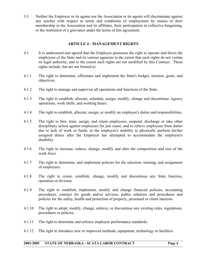<span id="page-3-0"></span>3.3 Neither the Employer or its agents nor the Association or its agents will discriminate against any teacher with respect to terms and conditions of employment by reason of their membership in the Association and its affiliates, their participation in collective bargaining, or the institution of a grievance under the terms of this agreement.

#### **ARTICLE 4 - MANAGEMENT RIGHTS**

- 4.1 It is understood and agreed that the Employer possesses the right to operate and direct the employees of the State and its various agencies to the extent that such rights do not violate its legal authority, and to the extent such rights are not modified by this Contract. These rights include, but are not limited to:
- 4.1.1 The right to determine, effectuate and implement the State's budget, mission, goals, and objectives.
- 4.1.2 The right to manage and supervise all operations and functions of the State.
- 4.1.3 The right to establish, allocate, schedule, assign, modify, change and discontinue Agency operations, work shifts, and working hours.
- 4.1.4 The right to establish, allocate, assign, or modify an employee's duties and responsibilities.
- 4.1.5 The right to hire, train, assign, and retain employees; suspend, discharge or take other disciplinary action against employees for just cause; and to relieve employees from duties due to lack of work or funds, or the employee's inability to physically perform his/her assigned duties after the Employer has attempted to accommodate the employee's disability.
- 4.1.6 The right to increase, reduce, change, modify and alter the composition and size of the work force.
- 4.1.7 The right to determine, and implement policies for the selection, training, and assignment of employees.
- 4.1.8 The right to create, establish, change, modify and discontinue any State function, operation or division.
- 4.1.9 The right to establish, implement, modify and change financial policies, accounting procedures, contract for goods and/or services, public relations and procedures and policies for the safety, health and protection of property, personnel or client interests.
- 4.1.10 The right to adopt, modify, change, enforce, or discontinue any existing rules, regulations, procedures or policies.
- 4.1.11 The right to determine and enforce employee performance standards.
- 4.1.12 The right to introduce new or improved methods, equipment, technology or facilities.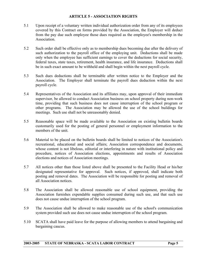#### **ARTICLE 5 - ASSOCIATION RIGHTS**

- <span id="page-4-0"></span>5.1 Upon receipt of a voluntary written individual authorization order from any of its employees covered by this Contract on forms provided by the Association, the Employer will deduct from the pay due such employee those dues required as the employee's membership in the Association.
- 5.2 Such order shall be effective only as to membership dues becoming due after the delivery of such authorization to the payroll office of the employing unit. Deductions shall be made only when the employee has sufficient earnings to cover the deductions for social security, federal taxes, state taxes, retirement, health insurance, and life insurance. Deductions shall be in such exact amount to be withheld and shall begin within the next payroll cycle.
- 5.3 Such dues deductions shall be terminable after written notice to the Employer and the Association. The Employer shall terminate the payroll dues deduction within the next payroll cycle.
- 5.4 Representatives of the Association and its affiliates may, upon approval of their immediate supervisor, be allowed to conduct Association business on school property during non-work time, providing that such business does not cause interruption of the school program or other programs. The Association may be allowed the use of the school buildings for meetings. Such use shall not be unreasonably denied.
- 5.5 Reasonable space will be made available to the Association on existing bulletin boards customarily used for the posting of general personnel or employment information to the members of the unit.
- 5.6 Material to be placed on the bulletin boards shall be limited to notices of the Association's recreational, educational and social affairs; Association correspondence and documents, whose content is not libelous, editorial or interfering in nature with institutional policy and procedure, notices of Association elections, appointments and results of Association elections and notices of Association meetings.
- 5.7 All notices other than those listed above shall be presented to the Facility Head or his/her designated representative for approval. Such notices, if approved, shall indicate both posting and removal dates. The Association will be responsible for posting and removal of all Association notices.
- 5.8 The Association shall be allowed reasonable use of school equipment, providing the Association furnishes expendable supplies consumed during such use, and that such use does not cause undue interruption of the school program.
- 5.9 The Association shall be allowed to make reasonable use of the school's communication system provided such use does not cause undue interruption of the school program.
- 5.10 SCATA shall have paid leave for the purpose of allowing members to attend bargaining and bargaining caucus.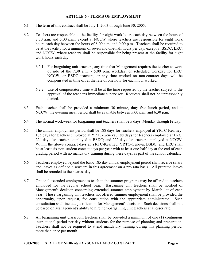#### **ARTICLE 6 - TERMS OF EMPLOYMENT**

- <span id="page-5-0"></span>6.1 The term of this contract shall be July 1, 2003 through June 30, 2005.
- 6.2 Teachers are responsible to the facility for eight work hours each day between the hours of 7:30 a.m. and 5:00 p.m., except at NCCW where teachers are responsible for eight work hours each day between the hours of 8:00 a.m. and 9:00 p.m. Teachers shall be required to be at the facility for a minimum of seven and one-half hours per day, except at BSDC, LRC, and NCCW, where teachers shall be responsible for being present at the facility for eight work hours each day.
	- 6.2.1 For bargaining unit teachers, any time that Management requires the teacher to work outside of the 7:30 a.m. - 5:00 p.m. workday, or scheduled workday for LRC, NCCW, or BSDC teachers, or any time worked on non-contract days will be compensated in time off at the rate of one hour for each hour worked.
	- 6.2.2 Use of compensatory time will be at the time requested by the teacher subject to the approval of the teacher's immediate supervisor. Requests shall not be unreasonably denied.
- 6.3 Each teacher shall be provided a minimum 30 minute, duty free lunch period, and at NCCW, the evening meal period shall be available between 5:00 p.m. and 6:30 p.m.
- 6.4 The normal workweek for bargaining unit teachers shall be 5 days, Monday through Friday.
- 6.5 The annual employment period shall be 188 days for teachers employed at YRTC-Kearney; 185 days for teachers employed at YRTC-Geneva; 188 days for teachers employed at LRC; 224 days for teachers employed at BSDC; and 222 days for teachers employed at NCCW. Within the above contract days at YRTC-Kearney, YRTC-Geneva, BSDC, and LRC shall be at least six non-student contact days per year with at least one-half day at the end of each grading period with no mandatory training during these days, as part of the school calendar.
- 6.6 Teachers employed beyond the basic 185 day annual employment period shall receive salary and leaves as defined elsewhere in this agreement on a pro rata basis. All prorated leaves shall be rounded to the nearest day.
- 6.7 Optional extended employment to teach in the summer programs may be offered to teachers employed for the regular school year. Bargaining unit teachers shall be notified of Management's decision concerning extended summer employment by March 1st of each year. Those bargaining unit teachers not offered summer employment shall be provided the opportunity, upon request, for consultation with the appropriate administrator. Such consultation shall include justification for Management's decision. Such decisions shall not be based on Management's ability to hire non-bargaining unit teachers at a lesser rate.
- 6.8 All bargaining unit classroom teachers shall be provided a minimum of one (1) continuous instructional period per day without students for the purpose of planning and preparation. Teachers shall not be required to attend mandatory training during this planning period, more than once per month.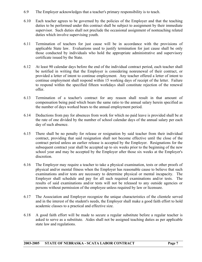- 6.9 The Employer acknowledges that a teacher's primary responsibility is to teach.
- 6.10 Each teacher agrees to be governed by the policies of the Employer and that the teaching duties to be performed under this contract shall be subject to assignment by their immediate supervisor. Such duties shall not preclude the occasional assignment of nonteaching related duties which involve supervising youth.
- 6.11 Termination of teachers for just cause will be in accordance with the provisions of applicable State law. Evaluations used to justify termination for just cause shall be only those conducted by individuals who hold the appropriate administrative and supervisory certificate issued by the State.
- 6.12 At least 90 calendar days before the end of the individual contract period, each teacher shall be notified in writing that the Employer is considering nonrenewal of their contract, or provided a letter of intent to continue employment. Any teacher offered a letter of intent to continue employment shall respond within 15 working days of receipt of the letter. Failure to respond within the specified fifteen workdays shall constitute rejection of the renewal offer.
- 6.13 Termination of a teacher's contract for any reason shall result in that amount of compensation being paid which bears the same ratio to the annual salary herein specified as the number of days worked bears to the annual employment period.
- 6.14 Deductions from pay for absences from work for which no paid leave is provided shall be at the rate of one divided by the number of school calendar days of the annual salary per each day of such absence.
- 6.15 There shall be no penalty for release or resignation by said teacher from their individual contract, providing that said resignation shall not become effective until the close of the contract period unless an earlier release is accepted by the Employer. Resignations for the subsequent contract year shall be accepted up to six weeks prior to the beginning of the new school year and may be accepted by the Employer after those six weeks at the Employer's discretion.
- 6.16 The Employer may require a teacher to take a physical examination, tests or other proofs of physical and/or mental fitness when the Employer has reasonable cause to believe that such examinations and/or tests are necessary to determine physical or mental incapacity. The Employer shall schedule and pay for all such required examinations and/or tests. The results of said examinations and/or tests will not be released to any outside agencies or persons without permission of the employee unless required by law or licensure.
- 6.17 The Association and Employer recognize the unique characteristics of the clientele served and in the interest of the student's needs, the Employer shall make a good faith effort to hold academic classes to a practical and effective size.
- 6.18 A good faith effort will be made to secure a regular substitute before a regular teacher is asked to serve as a substitute. Aides shall not be assigned teaching duties as per applicable state law and regulations.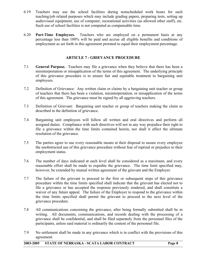- <span id="page-7-0"></span>6.19 Teachers may use the school facilities during nonscheduled work hours for such teaching/job related purposes which may include grading papers, preparing tests, setting up audiovisual equipment, use of computer, recreational activities (as allowed other staff), etc. Such use of school facilities is not computed as compensable time.
- 6.20 **Part-Time Employees.** Teachers who are employed on a permanent basis at any percentage less than 100% will be paid and accrue all eligible benefits and conditions of employment as set forth in this agreement prorated to equal their employment percentage.

#### **ARTICLE 7 - GRIEVANCE PROCEDURE**

- 7.1 **General Purpose.** Teachers may file a grievance when they believe that there has been a misinterpretation or misapplication of the terms of this agreement. The underlying principle of this grievance procedure is to ensure fair and equitable treatment to bargaining unit employees.
- 7.2 Definition of Grievance: Any written claim or claims by a bargaining unit teacher or group of teachers that there has been a violation, misinterpretation, or misapplication of the terms of this agreement. The grievance must be signed by all aggrieving teachers.
- 7.3 Definition of Grievant: Bargaining unit teacher or group of teachers making the claim as described in the definition of grievance.
- 7.4 Bargaining unit employees will follow all written and oral directives and perform all assigned duties. Compliance with such directives will not in any way prejudice their right to file a grievance within the time limits contained herein, nor shall it affect the ultimate resolution of the grievance.
- 7.5 The parties agree to use every reasonable means at their disposal to assure every employee the unobstructed use of this grievance procedure without fear of reprisal or prejudice to their employment status.
- 7.6 The number of days indicated at each level shall be considered as a maximum, and every reasonable effort shall be made to expedite the grievance. The time limit specified may, however, be extended by mutual written agreement of the grievant and the Employer.
- 7.7 The failure of the grievant to proceed to the first or subsequent steps of this grievance procedure within the time limits specified shall indicate that the grievant has elected not to file a grievance or has accepted the response previously rendered, and shall constitute a waiver of any future appeal. The failure of the Employer to respond to the grievance within the time limits specified shall permit the grievant to proceed to the next level of the grievance procedure.
- 7.8 All communications concerning the grievance, after being formally submitted shall be in writing. All documents, communications, and records dealing with the processing of a grievance shall be confidential, and shall be filed separately from the personnel files of the participants, unless said material is ordinarily the content of the personnel file.
- 7.9 No settlement shall be made in any grievance which is in conflict with the provisions of this agreement.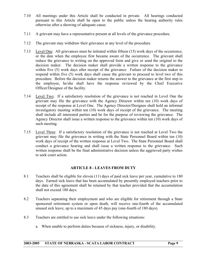- <span id="page-8-0"></span>7.10 All meetings under this Article shall be conducted in private. All hearings conducted pursuant to this Article shall be open to the public unless the hearing authority rules otherwise after a showing of adequate cause.
- 7.11 A grievant may have a representative present at all levels of the grievance procedure.
- 7.12 The grievant may withdraw their grievance at any level of the procedure.
- 7.13 Level One: All grievances must be initiated within fifteen (15) work days of the occurrence, or the date when the employee first became aware of the occurrence. The grievant shall reduce the grievance to writing on the approved form and give or send the original to the decision maker. The decision maker shall provide a written response to the grievance within five (5) work days after receipt of the grievance. Failure of the decision maker to respond within five (5) work days shall cause the grievant to proceed to level two of this procedure. Before the decision maker returns the answer to the grievance at the first step to the employee, he/she shall have the response reviewed by the Chief Executive Officer/Designee of the facility.
- 7.14 Level Two: If a satisfactory resolution of the grievance is not reached in Level One the grievant may file the grievance with the Agency Director within ten (10) work days of receipt of the response at Level One. The Agency Director/Designee shall hold an informal investigatory meeting within ten (10) work days of receipt of the grievance. The meeting shall include all interested parties and be for the purpose of reviewing the grievance. The Agency Director shall issue a written response to the grievance within ten (10) work days of such meeting.
- 7.15 Level Three: If a satisfactory resolution of the grievance is not reached at Level Two the grievant may file the grievance in writing with the State Personnel Board within ten (10) work days of receipt of the written response at Level Two. The State Personnel Board shall conduct a grievance hearing and shall issue a written response to the grievance. Such written response shall be the final administrative decision unless the aggrieved party wishes to seek court action.

### **ARTICLE 8 - LEAVES FROM DUTY**

- 8.1 Teachers shall be eligible for eleven (11) days of paid sick leave per year, cumulative to 180 days. Earned sick leave that has been accumulated by presently employed teachers prior to the date of this agreement shall be retained by that teacher provided that the accumulation shall not exceed 180 days.
- 8.2 Teachers separating their employment and who are eligible for retirement through a State sponsored retirement system or upon death, will receive one-fourth of the accumulated unused sick leave, up to a maximum of 45 days pay (one-fourth of 180 days).
- 8.3 Teachers are entitled to use sick leave under the following situations:
	- a. When unable to perform duties because of sickness, injury, or disability.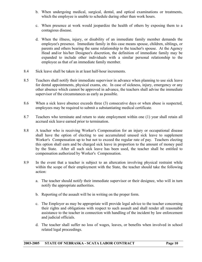- b. When undergoing medical, surgical, dental, and optical examinations or treatments, which the employee is unable to schedule during other than work hours.
- c. When presence at work would jeopardize the health of others by exposing them to a contagious disease.
- d. When the illness, injury, or disability of an immediate family member demands the employee's presence. Immediate family in this case means spouse, children, siblings, or parents and others bearing the same relationship to the teacher's spouse. At the Agency Head and/or his/her Designee's discretion, the definition of immediate family may be expanded to include other individuals with a similar personal relationship to the employee as that of an immediate family member.
- 8.4 Sick leave shall be taken in at least half-hour increments.
- 8.5 Teachers shall notify their immediate supervisor in advance when planning to use sick leave for dental appointments, physical exams, etc. In case of sickness, injury, emergency or any other absence which cannot be approved in advance, the teachers shall advise the immediate supervisor of the circumstances as early as possible.
- 8.6 When a sick leave absence exceeds three (3) consecutive days or when abuse is suspected, employees may be required to submit a substantiating medical certificate.
- 8.7 Teachers who terminate and return to state employment within one (1) year shall retain all accrued sick leave earned prior to termination.
- 8.8 A teacher who is receiving Worker's Compensation for an injury or occupational disease shall have the option of electing to use accumulated unused sick leave to supplement Worker's Compensation up to but not to exceed the regular rate of pay. Teachers electing this option shall earn and be charged sick leave in proportion to the amount of money paid by the State. After all such sick leave has been used, the teacher shall be entitled to compensation authorized by Worker's Compensation.
- 8.9 In the event that a teacher is subject to an altercation involving physical restraint while within the scope of their employment with the State, the teacher should take the following action:
	- a. The teacher should notify their immediate supervisor or their designee, who will in turn notify the appropriate authorities.
	- b. Reporting of the assault will be in writing on the proper form.
	- c. The Employer as may be appropriate will provide legal advice to the teacher concerning their rights and obligations with respect to such assault and shall render all reasonable assistance to the teacher in connection with handling of the incident by law enforcement and judicial officials.
	- d. The teacher shall suffer no loss of wages, leaves, or benefits when involved in school related legal proceedings.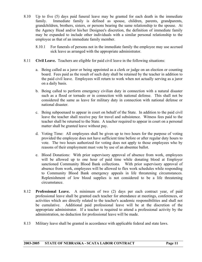- 8.10 Up to five (5) days paid funeral leave may be granted for each death in the immediate family. Immediate family is defined as spouse, children, parents, grandparents, grandchildren, brothers, sisters, or persons bearing the same relationship to the spouse. At the Agency Head and/or his/her Designee's discretion, the definition of immediate family may be expanded to include other individuals with a similar personal relationship to the employee as that of an immediate family member.
	- 8.10.1 For funerals of persons not in the immediate family the employee may use accrued sick leave as arranged with the appropriate administrator.
- 8.11 **Civil Leave.** Teachers are eligible for paid civil leave in the following situations:
	- a. Being called as a juror or being appointed as a clerk or judge on an election or counting board. Fees paid as the result of such duty shall be retained by the teacher in addition to the paid civil leave. Employees will return to work when not actually serving as a juror on a daily basis.
	- b. Being called to perform emergency civilian duty in connection with a natural disaster such as a flood or tornado or in connection with national defense. This shall not be considered the same as leave for military duty in connection with national defense or national disaster.
	- c. Being subpoenaed to appear in court on behalf of the State. In addition to the paid civil leave the teacher shall receive pay for travel and subsistence. Witness fees paid to the teacher shall be returned to the State. A teacher required to appear in court on a personal matter shall be granted leave without pay.
	- d. Voting Time: All employees shall be given up to two hours for the purpose of voting provided the employee does not have sufficient time before or after regular duty hours to vote. The two hours authorized for voting does not apply to those employees who by reasons of their employment must vote by use of an absentee ballot.
	- e. Blood Donations: With prior supervisory approval of absence from work, employees will be allowed up to one hour of paid time while donating blood at Employer sanctioned Community Blood Bank collections. With prior supervisory approval of absence from work, employees will be allowed to flex work schedules while responding to Community Blood Bank emergency appeals in life threatening circumstances. Replenishment of low blood supplies is not considered to be a life threatening circumstance.
- 8.12 **Professional Leave.** A minimum of two (2) days per each contract year, of paid professional leave shall be granted each teacher for attendance at meetings, conferences, or activities which are directly related to the teacher's academic responsibilities and shall not be cumulative. Additional paid professional leave will be at the discretion of the appropriate administrator. If a teacher is required to attend a professional activity by the administration, no deduction for professional leave will be made.
- 8.13 Military leave shall be granted in accordance with applicable federal and state laws.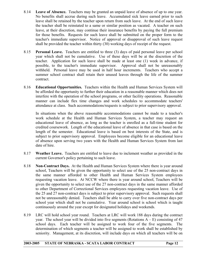- 8.14 **Leave of Absence.** Teachers may be granted an unpaid leave of absence of up to one year. No benefits shall accrue during such leave. Accumulated sick leave earned prior to such leave shall be retained by the teacher upon return from such leave. At the end of such leave the teacher shall be reinstated to a same or similar position as vacated. A teacher on such leave, at their discretion, may continue their insurance benefits by paying the full premium for those benefits. Requests for such leave shall be submitted on the proper form to the teacher's immediate supervisor. Notice of approval or disapproval of such leave request shall be provided the teacher within thirty (30) working days of receipt of the request.
- 8.15 **Personal Leave.** Teachers are entitled to three (3) days of paid personal leave per school year which shall not be cumulative. Use of these days will be at the discretion of the teacher. Application for such leave shall be made at least one (1) week in advance, if possible, to the teacher's immediate supervisor. Approval shall not be unreasonably withheld. Personal leave may be used in half hour increments. Teachers who accept a summer school contract shall retain their unused leaves through the life of the summer contract.
- 8.16 **Educational Opportunities.** Teachers within the Health and Human Services System will be afforded the opportunity to further their education in a reasonable manner which does not interfere with the operation of the school programs, or other facility operations. Reasonable manner can include flex time changes and work schedules to accommodate teachers' attendance at class. Such accommodations/requests is subject to prior supervisory approval.

 In situations when the above reasonable accommodations cannot be made to a teacher's work schedule at the Health and Human Services System, a teacher may request an educational leave of absence, as long as the teacher is enrolled as a full-time student for credited coursework. Length of the educational leave of absence in that case is based on the length of the semester. Educational leave is based on best interests of the State, and is subject to prior supervisory approval. Employees become eligible for an educational leave of absence upon serving two years with the Health and Human Services System from last date of hire.

- 8.17 **Weather Leave.** Teachers are entitled to leave due to inclement weather as provided in the current Governor's policy pertaining to such leave.
- 8.18 **Non-Contract Days.** At the Health and Human Services System where there is year around school, Teachers will be given the opportunity to select use of the 25 non-contract days in the same manner afforded to other Health and Human Services System employees requesting vacation leave. At NCCW where there is year around school, Teachers will be given the opportunity to select use of the 27 non-contract days in the same manner afforded to other Department of Correctional Services employees requesting vacation leave. Use of the 25 and 27 non-contract days is subject to prior supervisory approval. Such requests shall not be unreasonably denied. Teachers shall be able to carry over five non-contract days per school year which shall not be cumulative. Year around school is school which is taught continuously around the year except for designated holidays and weekends.
- 8.19 LRC will hold school year round. Teachers at LRC will work 188 days during the contract year. The school year will be divided into five segments (Rotations  $A - E$ ) consisting of 47 school days. Each teacher will be assigned to work four of the five segments. The determination of which segments a teacher will be assigned to work shall be established by seniority. Management, at its discretion, will include days on which all teachers will be on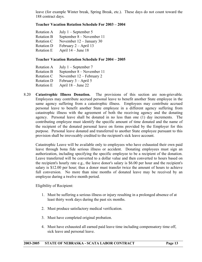leave (for example Winter break, Spring Break, etc.). These days do not count toward the 188 contract days.

#### **Teacher Vacation Rotation Schedule For 2003 – 2004**

| Rotation A        | July $1$ – September 5     |
|-------------------|----------------------------|
| <b>Rotation B</b> | September 8 – November 11  |
| Rotation C        | November $12 -$ January 30 |
| <b>Rotation D</b> | February $2 - April 13$    |
| Rotation E        | April $14 -$ June 18       |

#### **Teacher Vacation Rotation Schedule For 2004 – 2005**

| July $1$ – September 7    |
|---------------------------|
| September 8 – November 11 |
| November 12 – February 2  |
| February $3 -$ April 5    |
| April $18 -$ June 22      |
|                           |

8.20 **Catastrophic Illness Donation.** The provisions of this section are non-grievable. Employees may contribute accrued personal leave to benefit another State employee in the same agency suffering from a catastrophic illness. Employees may contribute accrued personal leave to benefit another State employee in a different agency suffering from catastrophic illness with the agreement of both the receiving agency and the donating agency. Personal leave shall be donated in no less than one (1) day increments. The contributing employee must identify the specific amount of time donated and the name of the recipient of the donated personal leave on forms provided by the Employer for this purpose. Personal leave donated and transferred to another State employee pursuant to this provision shall be irrevocably credited to the recipient's sick leave account.

 Catastrophic Leave will be available only to employees who have exhausted their own paid leave through bona fide serious illness or accident. Donating employees must sign an authorization, including specifying the specific employee to be a recipient of the donation. Leave transferred will be converted to a dollar value and then converted to hours based on the recipient's hourly rate e.g., the leave donor's salary is \$6.00 per hour and the recipient's salary is \$12.00 per hour; thus a donor must transfer twice the amount of hours to achieve full conversion. No more than nine months of donated leave may be received by an employee during a twelve month period.

Eligibility of Recipient:

- 1. Must be suffering a serious illness or injury resulting in a prolonged absence of at least thirty work days during the past six months.
- 2. Must produce satisfactory medical verification.
- 3. Must have completed original probation.
- 4. Must have exhausted all earned paid leave time including compensatory time off, sick leave and personal leave.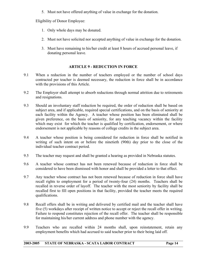5. Must not have offered anything of value in exchange for the donation.

<span id="page-13-0"></span>Eligibility of Donor Employee:

- 1. Only whole days may be donated.
- 2. Must not have solicited nor accepted anything of value in exchange for the donation.
- 3. Must have remaining to his/her credit at least 8 hours of accrued personal leave, if donating personal leave.

#### **ARTICLE 9 - REDUCTION IN FORCE**

- 9.1 When a reduction in the number of teachers employed or the number of school days contracted per teacher is deemed necessary, the reduction in force shall be in accordance with the provisions of this Article.
- 9.2 The Employer shall attempt to absorb reductions through normal attrition due to retirements and resignations.
- 9.3 Should an involuntary staff reduction be required, the order of reduction shall be based on subject area, and if applicable, required special certifications, and on the basis of seniority at each facility within the Agency. A teacher whose position has been eliminated shall be given preference, on the basis of seniority, for any teaching vacancy within the facility which may exist for which the teacher is qualified by certification, endorsement, or where endorsement is not applicable by reasons of college credits in the subject area.
- 9.4 A teacher whose position is being considered for reduction in force shall be notified in writing of such intent on or before the ninetieth (90th) day prior to the close of the individual teacher contract period.
- 9.5 The teacher may request and shall be granted a hearing as provided in Nebraska statutes.
- 9.6 A teacher whose contract has not been renewed because of reduction in force shall be considered to have been dismissed with honor and shall be provided a letter to that effect.
- 9.7 Any teacher whose contract has not been renewed because of reduction in force shall have recall rights to employment for a period of twenty-four (24) months. Teachers shall be recalled in reverse order of layoff. The teacher with the most seniority by facility shall be recalled first to fill open positions in that facility, provided the teacher meets the required qualifications.
- 9.8 Recall offers shall be in writing and delivered by certified mail and the teacher shall have five (5) workdays after receipt of written notice to accept or reject the recall offer in writing. Failure to respond constitutes rejection of the recall offer. The teacher shall be responsible for maintaining his/her current address and phone number with the agency.
- 9.9 Teachers who are recalled within 24 months shall, upon reinstatement, retain any employment benefits which had accrued to said teacher prior to their being laid off.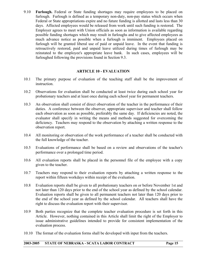<span id="page-14-0"></span>9.10 **Furlough.** Federal or State funding shortages may require employees to be placed on furlough. Furlough is defined as a temporary non-duty, non-pay status which occurs when Federal or State appropriations expire and no future funding is allotted and lasts less than 30 days. Affected employees would be released from work until such funding is restored. The Employer agrees to meet with Union officials as soon as information is available regarding possible funding shortages which may result in furloughs and to give affected employees as much advance notice as possible when a furlough is imminent. Employees placed on furlough will be granted liberal use of paid or unpaid leave. In the event that funding is retroactively restored, paid and unpaid leave utilized during times of furlough may be reinstated to the employee's appropriate leave bank. In such cases, employees will be furloughed following the provisions found in Section 9.3.

#### **ARTICLE 10 - EVALUATION**

- 10.1 The primary purpose of evaluation of the teaching staff shall be the improvement of instruction.
- 10.2 Observations for evaluation shall be conducted at least twice during each school year for probationary teachers and at least once during each school year for permanent teachers.
- 10.3 An observation shall consist of direct observation of the teacher in the performance of their duties. A conference between the observer, appropriate supervisor and teacher shall follow each observation as soon as possible, preferably the same day. If deficiencies are noted, the evaluator shall specify in writing the means and methods suggested for overcoming the deficiency. Teachers may respond to the observation by attaching a written response to the observation report.
- 10.4 All monitoring or observation of the work performance of a teacher shall be conducted with the full knowledge of the teacher.
- 10.5 Evaluations of performance shall be based on a review and observations of the teacher's performance over a prolonged time period.
- 10.6 All evaluation reports shall be placed in the personnel file of the employee with a copy given to the teacher.
- 10.7 Teachers may respond to their evaluation reports by attaching a written response to the report within fifteen workdays within receipt of the evaluation.
- 10.8 Evaluation reports shall be given to all probationary teachers on or before November 1st and not later than 120 days prior to the end of the school year as defined by the school calendar. Evaluation reports shall be given to all permanent teachers not later than 120 days prior to the end of the school year as defined by the school calendar. All teachers shall have the right to discuss the evaluation report with their supervisor.
- 10.9 Both parties recognize that the complete teacher evaluation procedure is set forth in this Article. However, nothing contained in this Article shall limit the right of the Employer to issue administrative guidelines intended to provide for consistent implementation of the evaluation process.
- 10.10 The format of the evaluation forms shall be developed with input from the teachers.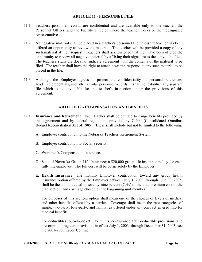#### **ARTICLE 11 - PERSONNEL FILE**

- <span id="page-15-0"></span>11.1 Teachers personnel records are confidential and are available only to the teacher, the Personnel Officer, and the Facility Director where the teacher works or their designated representatives.
- 11.2 No negative material shall be placed in a teacher's personnel file unless the teacher has been offered an opportunity to review the material. The teacher will be provided a copy of any such material at their request. Teachers shall acknowledge that they have been offered the opportunity to review all negative material by affixing their signature to the copy to be filed. The teacher's signature does not indicate agreement with the contents of the material to be filed. The teacher shall have the right to attach a written response to any such material to be placed in the file.
- 11.3 Although the Employer agrees to protect the confidentiality of personal references, academic credentials, and other similar personnel records, it shall not establish any separate file which is not available for the teacher's inspection under the provisions of this agreement.

#### **ARTICLE 12 - COMPENSATION AND BENEFITS**

- 12.1 **Insurance and Retirement.** Each teacher shall be entitled to fringe benefits provided by this agreement and by federal regulations provided by Cobra (Consolidated Omnibus Budget Reconciliation Act of 1985). These shall include but not be limited to the following:
	- A. Employer contribution to the Nebraska Teachers' Retirement System.
	- B. Employer contribution to Social Security.
	- C. Workmen's Compensation Insurance.
	- D. State of Nebraska Group Life Insurance; a \$20,000 group life insurance policy for each full-time employee. The full cost will be borne solely by the Employer.
	- E. **Health Insurance:** The monthly Employer contribution toward any group health insurance option offered by the Employer between July 1, 2003, through June 30, 2005, shall be the amount equal to seventy-nine percent (79%) of the total premium cost of the plan, option, and coverage chosen by the bargaining unit member.

 For purposes of this section, option shall mean one of the choices of levels of medical and other benefits offered by a carrier. Coverage shall mean the rate categories of single, two-party, four-party, and family, as offered under any contract entered into for medical benefits.

 For deductibles, out-of-pocket maximums, coinsurance after deductible provisions, and prescription drug card provisions in effect July 1, 2003, through December 31, 2003, see the 2001-2003 Labor Contract.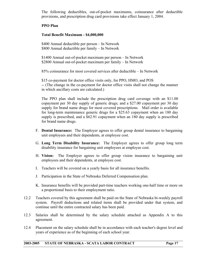The following deductibles, out-of-pocket maximums, coinsurance after deductible provisions, and prescription drug card provisions take effect January 1, 2004.

### **PPO Plan**

#### **Total Benefit Maximum - \$4,000,000**

\$400 Annual deductible per person – In Network \$800 Annual deductible per family – In Network

\$1400 Annual out-of-pocket maximum per person – In Network \$2800 Annual out-of-pocket maximum per family – In Network

85% coinsurance for most covered services after deductible – In Network

\$15 co-payment for doctor office visits only, for PPO, HMO, and POS -- (The change in the co-payment for doctor office visits shall not change the manner in which ancillary costs are calculated.)

 The PPO plan shall include the prescription drug card coverage with an \$11.00 copayment per 30 day supply of generic drugs; and a \$27.00 copayment per 30 day supply for brand name drugs for most covered prescriptions. Mail order is available for long-term maintenance generic drugs for a \$25.63 copayment when an 180 day supply is prescribed, and a \$62.91 copayment when an 180 day supply is prescribed for brand name drugs.

- F. **Dental Insurance:** The Employer agrees to offer group dental insurance to bargaining unit employees and their dependents, at employee cost.
- G. **Long Term Disability Insurance:** The Employer agrees to offer group long term disability insurance for bargaining unit employees at employee cost.
- H. **Vision:** The Employer agrees to offer group vision insurance to bargaining unit employees and their dependents, at employee cost.
- I. Teachers will be covered on a yearly basis for all insurance benefits.
- J. Participation in the State of Nebraska Deferred Compensation plan.
- K. Insurance benefits will be provided part-time teachers working one-half time or more on a proportional basis to their employment ratio.
- 12.2 Teachers covered by this agreement shall be paid on the State of Nebraska bi-weekly payroll system. Payroll deductions and related items shall be provided under that system, and continue until the entire contracted salary has been paid.
- 12.3 Salaries shall be determined by the salary schedule attached as Appendix A to this agreement.
- 12.4 Placement on the salary schedule shall be in accordance with each teacher's degree level and years of experience as of the beginning of each school year.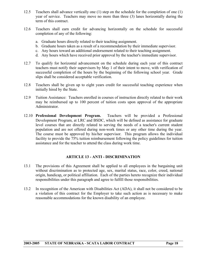- <span id="page-17-0"></span>12.5 Teachers shall advance vertically one (1) step on the schedule for the completion of one (1) year of service. Teachers may move no more than three (3) lanes horizontally during the term of this contract.
- 12.6 Teachers shall earn credit for advancing horizontally on the schedule for successful completion of any of the following:
	- a. Graduate hours directly related to their teaching assignment.
	- b. Graduate hours taken as a result of a recommendation by their immediate supervisor.
	- c. Any hours toward an additional endorsement related to their teaching assignment.
	- d. Any hours which have received prior approval by the teacher's immediate supervisor.
- 12.7 To qualify for horizontal advancement on the schedule during each year of this contract teachers must notify their supervisors by May 1 of their intent to move, with verification of successful completion of the hours by the beginning of the following school year. Grade slips shall be considered acceptable verification.
- 12.8 Teachers shall be given up to eight years credit for successful teaching experience when initially hired by the State.
- 12.9 Tuition Assistance: Teachers enrolled in courses of instruction directly related to their work may be reimbursed up to 100 percent of tuition costs upon approval of the appropriate Administrator.
- 12.10 **Professional Development Program.** Teachers will be provided a Professional Development Program, at LRC and BSDC, which will be defined as assistance for graduate level courses that are directly related to serving the needs of a teacher's current student population and are not offered during non-work times or any other time during the year. The course must be approved by his/her supervisor. This program allows the individual facility to provide the 75% tuition reimbursement following the policy guidelines for tuition assistance and for the teacher to attend the class during work time.

#### **ARTICLE 13 - ANTI - DISCRIMINATION**

- 13.1 The provisions of this Agreement shall be applied to all employees in the bargaining unit without discrimination as to protected age, sex, marital status, race, color, creed, national origin, handicap, or political affiliation. Each of the parties hereto recognize their individual responsibilities under this paragraph and agree to fulfill those responsibilities.
- 13.2 In recognition of the American with Disabilities Act (ADA), it shall not be considered to be a violation of this contract for the Employer to take such action as is necessary to make reasonable accommodations for the known disability of an employee.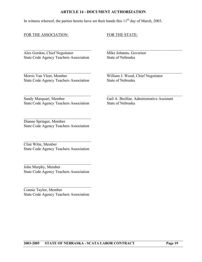#### **ARTICLE 14 - DOCUMENT AUTHORIZATION**

 $\mathcal{L}_\text{max} = \frac{1}{2} \sum_{i=1}^n \mathcal{L}_\text{max}(\mathbf{z}_i - \mathbf{z}_i)$ 

 $\mathcal{L}_\text{max} = \frac{1}{2} \sum_{i=1}^n \mathcal{L}_\text{max}(\mathbf{z}_i - \mathbf{z}_i)$ 

<span id="page-18-0"></span>In witness whereof, the parties hereto have set their hands this  $11<sup>th</sup>$  day of March, 2003.

#### FOR THE ASSOCIATION: FOR THE STATE:

Alex Gordon, Chief Negotiator Mike Johanns, Governor State Code Agency Teachers Association State of Nebraska

Morris Van Vleet, Member<br>State Code Agency Teachers Association<br>State of Nebraska State Code Agency Teachers Association

State Code Agency Teachers Association State of Nebraska

 $\mathcal{L}_\text{max} = \frac{1}{2} \sum_{i=1}^n \mathcal{L}_\text{max}(\mathbf{z}_i - \mathbf{z}_i)$ Sandy Marquart, Member Gail A. Brolliar, Administrative Assistant

Dianne Springer, Member State Code Agency Teachers Association

 $\mathcal{L}_\text{max}$ 

Clint Witte, Member State Code Agency Teachers Association

 $\mathcal{L}_\text{max}$  , where  $\mathcal{L}_\text{max}$  and  $\mathcal{L}_\text{max}$  and  $\mathcal{L}_\text{max}$ 

John Murphy, Member State Code Agency Teachers Association

 $\mathcal{L}_\text{max}$  , where  $\mathcal{L}_\text{max}$  and  $\mathcal{L}_\text{max}$  and  $\mathcal{L}_\text{max}$ 

Connie Taylor, Member State Code Agency Teachers Association

 $\mathcal{L}_\text{max}$  , where  $\mathcal{L}_\text{max}$  and  $\mathcal{L}_\text{max}$  and  $\mathcal{L}_\text{max}$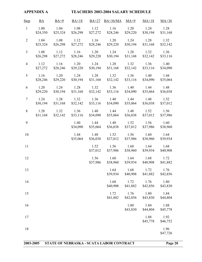<span id="page-19-0"></span>

| <b>APPENDIX A</b> |                  |                  | <b>TEACHERS 2003-2004 SALARY SCHEDULE</b> |                  |                  |                  |                  |                  |  |
|-------------------|------------------|------------------|-------------------------------------------|------------------|------------------|------------------|------------------|------------------|--|
| <b>Step</b>       | BA               | $BA+9$           | $BA+18$                                   | $BA+27$          | $BA+36/MA$       | $MA+9$           | $MA+18$          | $MA+36$          |  |
| $\mathbf{1}$      | 1.00<br>\$24,350 | 1.04<br>\$25,324 | 1.08<br>\$26,298                          | 1.12<br>\$27,272 | 1.16<br>\$28,246 | 1.20<br>\$29,220 | 1.24<br>\$30,194 | 1.28<br>\$31,168 |  |
| $\overline{2}$    | 1.04<br>\$25,324 | 1.08<br>\$26,298 | 1.12<br>\$27,272                          | 1.16<br>\$28,246 | 1.20<br>\$29,220 | 1.24<br>\$30,194 | 1.28<br>\$31,168 | 1.32<br>\$32,142 |  |
| $\overline{3}$    | 1.08<br>\$26,298 | 1.12<br>\$27,272 | 1.16<br>\$28,246                          | 1.20<br>\$29,220 | 1.24<br>\$30,194 | 1.28<br>\$31,168 | 1.32<br>\$32,142 | 1.36<br>\$33,116 |  |
| $\overline{4}$    | 1.12<br>\$27,272 | 1.16<br>\$28,246 | 1.20<br>\$29,220                          | 1.24<br>\$30,194 | 1.28<br>\$31,168 | 1.32<br>\$32,142 | 1.36<br>\$33,116 | 1.40<br>\$34,090 |  |
| 5                 | 1.16<br>\$28,246 | 1.20<br>\$29,220 | 1.24<br>\$30,194                          | 1.28<br>\$31,168 | 1.32<br>\$32,142 | 1.36<br>\$33,116 | 1.40<br>\$34,090 | 1.44<br>\$35,064 |  |
| 6                 | 1.20<br>\$29,220 | 1.24<br>\$30,194 | 1.28<br>\$31,168                          | 1.32<br>\$32,142 | 1.36<br>\$33,116 | 1.40<br>\$34,090 | 1.44<br>\$35,064 | 1.48<br>\$36,038 |  |
| $\tau$            | 1.24<br>\$30,194 | 1.28<br>\$31,168 | 1.32<br>\$32,142                          | 1.36<br>\$33,116 | 1.40<br>\$34,090 | 1.44<br>\$35,064 | 1.48<br>\$36,038 | 1.52<br>\$37,012 |  |
| 8                 | 1.28<br>\$31,168 | 1.32<br>\$32,142 | 1.36<br>\$33,116                          | 1.40<br>\$34,090 | 1.44<br>\$35,064 | 1.48<br>\$36,038 | 1.52<br>\$37,012 | 1.56<br>\$37,986 |  |
| 9                 |                  |                  | 1.40<br>\$34,090                          | 1.44<br>\$35,064 | 1.48<br>\$36,038 | 1.52<br>\$37,012 | 1.56<br>\$37,986 | 1.60<br>\$38,960 |  |
| 10                |                  |                  | 1.44<br>\$35,064                          | 1.48<br>\$36,038 | 1.52<br>\$37,012 | 1.56<br>\$37,986 | 1.60<br>\$38,960 | 1.64<br>\$39,934 |  |
| 11                |                  |                  |                                           | 1.52<br>\$37,012 | 1.56<br>\$37,986 | 1.60<br>\$38,960 | 1.64<br>\$39,934 | 1.68<br>\$40,908 |  |
| 12                |                  |                  |                                           | 1.56<br>\$37,986 | 1.60<br>\$38,960 | 1.64<br>\$39,934 | 1.68<br>\$40,908 | 1.72<br>\$41,882 |  |
| 13                |                  |                  |                                           |                  | 1.64<br>\$39,934 | 1.68<br>\$40,908 | 1.72<br>\$41,882 | 1.76<br>\$42,856 |  |
| 14                |                  |                  |                                           |                  | 1.68<br>\$40,908 | 1.72<br>\$41,882 | 1.76<br>\$42,856 | 1.80<br>\$43,830 |  |
| 15                |                  |                  |                                           |                  | 1.72<br>\$41,882 | 1.76<br>\$42,856 | 1.80<br>\$43,830 | 1.84<br>\$44,804 |  |
| 16                |                  |                  |                                           |                  |                  | 1.80<br>\$43,830 | 1.84<br>\$44,804 | 1.88<br>\$45,778 |  |
| 17                |                  |                  |                                           |                  |                  |                  | 1.88<br>\$45,778 | 1.92<br>\$46,752 |  |
| 18                |                  |                  |                                           |                  |                  |                  |                  | 1.96<br>\$47,726 |  |